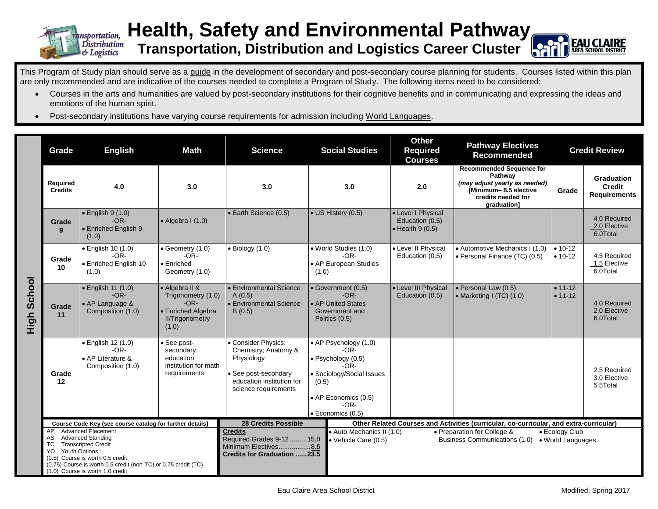

## **Health, Safety and Environmental Pathway Transportation, Distribution and Logistics Career Cluster**



This Program of Study plan should serve as a guide in the development of secondary and post-secondary course planning for students. Courses listed within this plan are only recommended and are indicative of the courses needed to complete a Program of Study. The following items need to be considered:

- Courses in the arts and humanities are valued by post-secondary institutions for their cognitive benefits and in communicating and expressing the ideas and emotions of the human spirit.
- Post-secondary institutions have varying course requirements for admission including World Languages.

|                       | Grade                                                                                                                                                                                                                                                                          | <b>English</b>                                                         | <b>Math</b>                                                                                             | <b>Science</b>                                                                                                                         | <b>Social Studies</b>                                                                                                                                      | <b>Other</b><br><b>Required</b><br><b>Courses</b>                 | <b>Pathway Electives</b><br><b>Recommended</b>                                                                                            | <b>Credit Review</b>     |                                                           |
|-----------------------|--------------------------------------------------------------------------------------------------------------------------------------------------------------------------------------------------------------------------------------------------------------------------------|------------------------------------------------------------------------|---------------------------------------------------------------------------------------------------------|----------------------------------------------------------------------------------------------------------------------------------------|------------------------------------------------------------------------------------------------------------------------------------------------------------|-------------------------------------------------------------------|-------------------------------------------------------------------------------------------------------------------------------------------|--------------------------|-----------------------------------------------------------|
|                       | Required<br><b>Credits</b>                                                                                                                                                                                                                                                     | 4.0                                                                    | 3.0                                                                                                     | 3.0                                                                                                                                    | 3.0                                                                                                                                                        | 2.0                                                               | <b>Recommended Sequence for</b><br>Pathway<br>(may adjust yearly as needed)<br>[Minimum-8.5 elective<br>credits needed for<br>graduation] | Grade                    | <b>Graduation</b><br><b>Credit</b><br><b>Requirements</b> |
|                       | Grade<br>9                                                                                                                                                                                                                                                                     | · English 9 (1.0)<br>$-OR-$<br>• Enriched English 9<br>(1.0)           | $\bullet$ Algebra I (1.0)                                                                               | · Earth Science (0.5)                                                                                                                  | $\overline{\bullet}$ US History (0.5)                                                                                                                      | • Level I Physical<br>Education (0.5)<br>$\bullet$ Health 9 (0.5) |                                                                                                                                           |                          | 4.0 Required<br>2.0 Elective<br>6.0Total                  |
|                       | Grade<br>10                                                                                                                                                                                                                                                                    | • English 10 (1.0)<br>$-OR-$<br>• Enriched English 10<br>(1.0)         | $\bullet$ Geometry (1.0)<br>$-OR-$<br>• Enriched<br>Geometry (1.0)                                      | $\bullet$ Biology (1.0)                                                                                                                | • World Studies (1.0)<br>$-OR-$<br>• AP European Studies<br>(1.0)                                                                                          | • Level II Physical<br>Education (0.5)                            | • Automotive Mechanics I (1.0)<br>• Personal Finance (TC) (0.5)                                                                           | $• 10-12$<br>$• 10-12$   | 4.5 Required<br>1.5 Elective<br>6.0Total                  |
| School<br>ー<br>上<br>エ | Grade<br>11                                                                                                                                                                                                                                                                    | · English 11 (1.0)<br>$-OR-$<br>• AP Language &<br>Composition (1.0)   | • Algebra II &<br>Trigonometry (1.0)<br>$-OR-$<br>• Enriched Algebra<br><b>II/Trigonometry</b><br>(1.0) | • Environmental Science<br>A(0.5)<br>• Environmental Science<br>B(0.5)                                                                 | • Government (0.5)<br>$-OR-$<br>• AP United States<br>Government and<br>Politics (0.5)                                                                     | • Level III Physical<br>Education (0.5)                           | • Personal Law (0.5)<br>• Marketing I $(TC)$ $(1.0)$                                                                                      | $• 11 - 12$<br>$• 11-12$ | 4.0 Required<br>2.0 Elective<br>6.0Total                  |
|                       | Grade<br>12                                                                                                                                                                                                                                                                    | • English 12 (1.0)<br>$-OR-$<br>• AP Literature &<br>Composition (1.0) | See post-<br>secondary<br>education<br>institution for math<br>requirements                             | • Consider Physics;<br>Chemistry; Anatomy &<br>Physiology<br>• See post-secondary<br>education institution for<br>science requirements | • AP Psychology (1.0)<br>$-OR-$<br>• Psychology (0.5)<br>-OR-<br>• Sociology/Social Issues<br>(0.5)<br>• AP Economics (0.5)<br>$-OR-$<br>· Economics (0.5) |                                                                   |                                                                                                                                           |                          | 2.5 Required<br>3.0 Elective<br>5.5Total                  |
|                       | Course Code Key (see course catalog for further details)                                                                                                                                                                                                                       |                                                                        |                                                                                                         | <b>28 Credits Possible</b><br>Other Related Courses and Activities (curricular, co-curricular, and extra-curricular)                   |                                                                                                                                                            |                                                                   |                                                                                                                                           |                          |                                                           |
|                       | <b>Advanced Placement</b><br>AP<br><b>Advanced Standing</b><br>AS<br><b>Transcripted Credit</b><br>TC.<br><b>Youth Options</b><br>YO<br>(0.5) Course is worth 0.5 credit<br>(0.75) Course is worth 0.5 credit (non-TC) or 0.75 credit (TC)<br>(1.0) Course is worth 1.0 credit |                                                                        |                                                                                                         | <b>Credits</b><br>Required Grades 9-12  15.0<br>Minimum Electives8.5<br><b>Credits for Graduation 23.5</b>                             | · Auto Mechanics II (1.0)<br>• Preparation for College &<br>• Ecology Club<br>Business Communications (1.0)<br>• Vehicle Care (0.5)<br>• World Languages   |                                                                   |                                                                                                                                           |                          |                                                           |